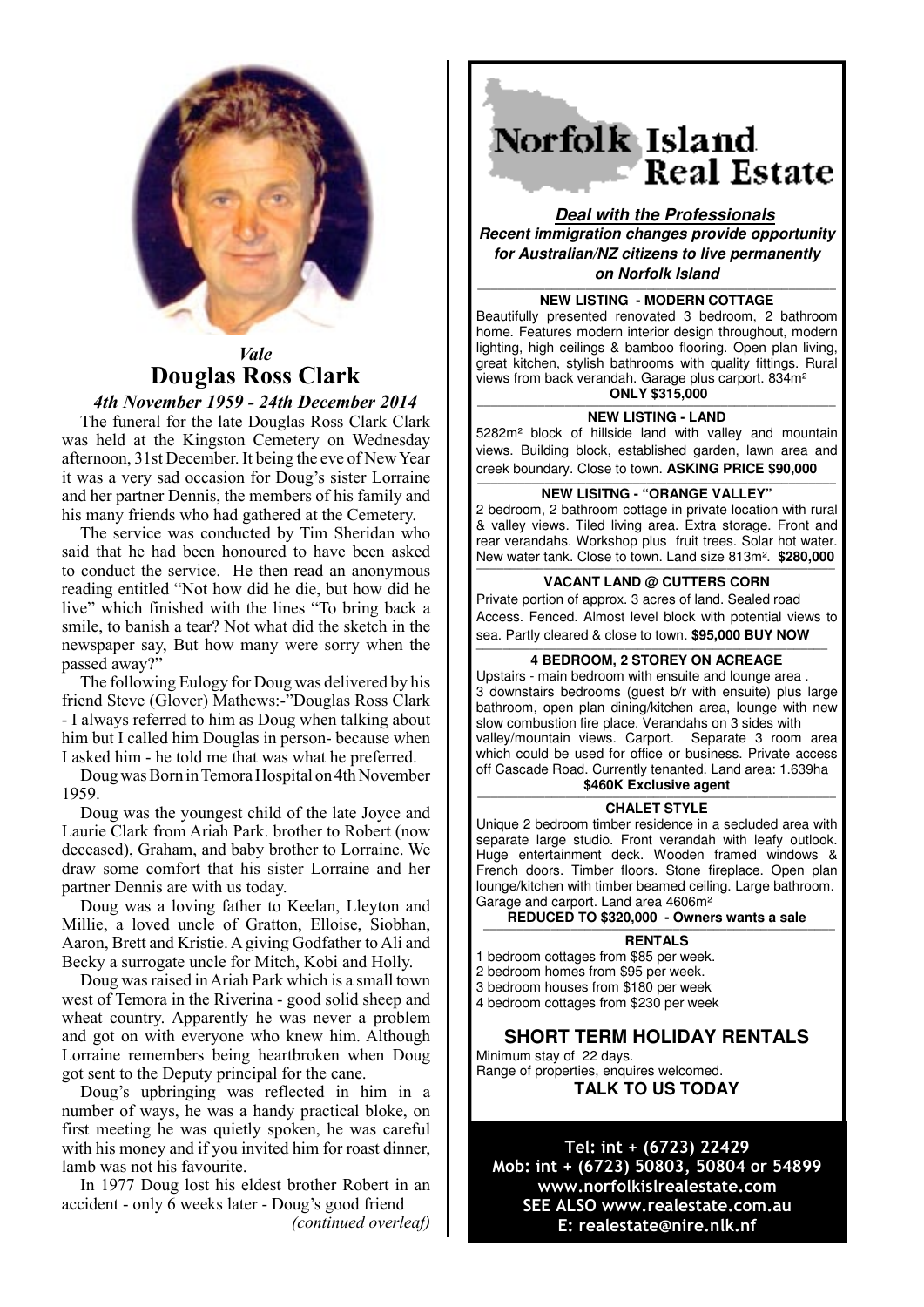

# *Vale* **Douglas Ross Clark**

*4th November 1959 - 24th December 2014* The funeral for the late Douglas Ross Clark Clark was held at the Kingston Cemetery on Wednesday afternoon, 31st December. It being the eve of New Year it was a very sad occasion for Doug's sister Lorraine and her partner Dennis, the members of his family and his many friends who had gathered at the Cemetery.

The service was conducted by Tim Sheridan who said that he had been honoured to have been asked to conduct the service. He then read an anonymous reading entitled "Not how did he die, but how did he live" which finished with the lines "To bring back a smile, to banish a tear? Not what did the sketch in the newspaper say, But how many were sorry when the passed away?"

The following Eulogy for Doug was delivered by his friend Steve (Glover) Mathews:-"Douglas Ross Clark - I always referred to him as Doug when talking about him but I called him Douglas in person- because when I asked him - he told me that was what he preferred.

Doug was Born in Temora Hospital on 4th November 1959.

Doug was the youngest child of the late Joyce and Laurie Clark from Ariah Park. brother to Robert (now deceased), Graham, and baby brother to Lorraine. We draw some comfort that his sister Lorraine and her partner Dennis are with us today.

Doug was a loving father to Keelan, Lleyton and Millie, a loved uncle of Gratton, Elloise, Siobhan, Aaron, Brett and Kristie. A giving Godfather to Ali and Becky a surrogate uncle for Mitch, Kobi and Holly.

Doug was raised in Ariah Park which is a small town west of Temora in the Riverina - good solid sheep and wheat country. Apparently he was never a problem and got on with everyone who knew him. Although Lorraine remembers being heartbroken when Doug got sent to the Deputy principal for the cane.

Doug's upbringing was reflected in him in a number of ways, he was a handy practical bloke, on first meeting he was quietly spoken, he was careful with his money and if you invited him for roast dinner. lamb was not his favourite.

In 1977 Doug lost his eldest brother Robert in an accident - only 6 weeks later - Doug's good friend *(continued overleaf)*

Norfolk Island **Real Estate** 

**Deal with the Professionals Recent immigration changes provide opportunity for Australian/NZ citizens to live permanently on Norfolk Island**

### **MEW LISTING - MODERN COTTAGE**

Beautifully presented renovated 3 bedroom, 2 bathroom home. Features modern interior design throughout, modern lighting, high ceilings & bamboo flooring. Open plan living, great kitchen, stylish bathrooms with quality fittings. Rural views from back verandah. Garage plus carport. 834m²

## **ONLY \$315,000**

**NEW LISTING - LAND** 5282m² block of hillside land with valley and mountain views. Building block, established garden, lawn area and creek boundary. Close to town. **ASKING PRICE \$90,000**

### **MEW LISITNG - "ORANGE VALLEY"**

2 bedroom, 2 bathroom cottage in private location with rural & valley views. Tiled living area. Extra storage. Front and rear verandahs. Workshop plus fruit trees. Solar hot water. New water tank. Close to town. Land size 813m². **\$280,000 —————————————————————————————————————————————————————**

#### **VACANT LAND @ CUTTERS CORN**

Private portion of approx. 3 acres of land. Sealed road Access. Fenced. Almost level block with potential views to sea. Partly cleared & close to town. **\$95,000 BUY NOW**

#### **———————————————————————————————————————————————————— 4 BEDROOM, 2 STOREY ON ACREAGE**

Upstairs - main bedroom with ensuite and lounge area . 3 downstairs bedrooms (guest b/r with ensuite) plus large bathroom, open plan dining/kitchen area, lounge with new slow combustion fire place. Verandahs on 3 sides with valley/mountain views. Carport. Separate 3 room area which could be used for office or business. Private access off Cascade Road. Currently tenanted. Land area: 1.639ha \$460K Exclusive agent

#### **CHALET STYLE**

Unique 2 bedroom timber residence in a secluded area with separate large studio. Front verandah with leafy outlook. Huge entertainment deck. Wooden framed windows & French doors. Timber floors. Stone fireplace. Open plan lounge/kitchen with timber beamed ceiling. Large bathroom. Garage and carport. Land area 4606m²

**REDUCED TO \$320,000 - Owners wants a sale** 

#### **RENTALS**

1 bedroom cottages from \$85 per week.

- 2 bedroom homes from \$95 per week.
- 3 bedroom houses from \$180 per week

4 bedroom cottages from \$230 per week

### **SHORT TERM HOLIDAY RENTALS**

Minimum stay of 22 days. Range of properties, enquires welcomed. **TALK TO US TODAY** 

Tel: int + (6723) 22429 Mob: int + (6723) 50803, 50804 or 54899 www.norfolkislrealestate.com SEE ALSO www.realestate.com.au E: realestate@nire.nlk.nf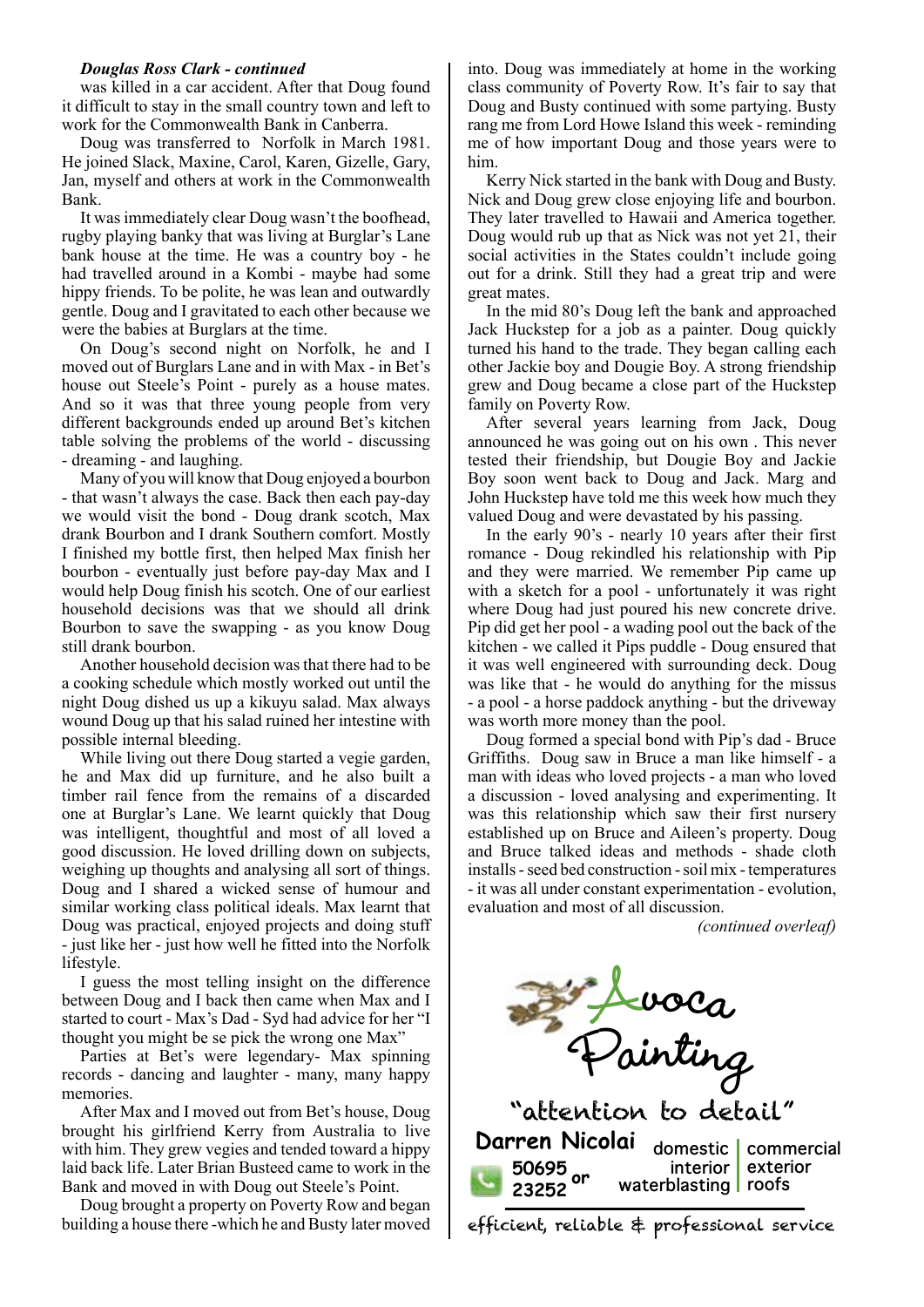### *Douglas Ross Clark - continued*

was killed in a car accident. After that Doug found it difficult to stay in the small country town and left to work for the Commonwealth Bank in Canberra.

Doug was transferred to Norfolk in March 1981. He joined Slack, Maxine, Carol, Karen, Gizelle, Gary, Jan, myself and others at work in the Commonwealth Bank.

It was immediately clear Doug wasn't the boofhead, rugby playing banky that was living at Burglar's Lane bank house at the time. He was a country boy - he had travelled around in a Kombi - maybe had some hippy friends. To be polite, he was lean and outwardly gentle. Doug and I gravitated to each other because we were the babies at Burglars at the time.

On Doug's second night on Norfolk, he and I moved out of Burglars Lane and in with Max - in Bet's house out Steele's Point - purely as a house mates. And so it was that three young people from very different backgrounds ended up around Bet's kitchen table solving the problems of the world - discussing - dreaming - and laughing.

Many of you will know that Doug enjoyed a bourbon - that wasn't always the case. Back then each pay-day we would visit the bond - Doug drank scotch, Max drank Bourbon and I drank Southern comfort. Mostly I finished my bottle first, then helped Max finish her bourbon - eventually just before pay-day Max and I would help Doug finish his scotch. One of our earliest household decisions was that we should all drink Bourbon to save the swapping - as you know Doug still drank bourbon.

Another household decision was that there had to be a cooking schedule which mostly worked out until the night Doug dished us up a kikuyu salad. Max always wound Doug up that his salad ruined her intestine with possible internal bleeding.

While living out there Doug started a vegie garden, he and Max did up furniture, and he also built a timber rail fence from the remains of a discarded one at Burglar's Lane. We learnt quickly that Doug was intelligent, thoughtful and most of all loved a good discussion. He loved drilling down on subjects, weighing up thoughts and analysing all sort of things. Doug and I shared a wicked sense of humour and similar working class political ideals. Max learnt that Doug was practical, enjoyed projects and doing stuff - just like her - just how well he fitted into the Norfolk lifestyle.

I guess the most telling insight on the difference between Doug and I back then came when Max and I started to court - Max's Dad - Syd had advice for her "I thought you might be se pick the wrong one Max"

Parties at Bet's were legendary- Max spinning records - dancing and laughter - many, many happy memories.

After Max and I moved out from Bet's house, Doug brought his girlfriend Kerry from Australia to live with him. They grew vegies and tended toward a hippy laid back life. Later Brian Busteed came to work in the Bank and moved in with Doug out Steele's Point.

Doug brought a property on Poverty Row and began building a house there -which he and Busty later moved

into. Doug was immediately at home in the working class community of Poverty Row. It's fair to say that Doug and Busty continued with some partying. Busty rang me from Lord Howe Island this week - reminding me of how important Doug and those years were to him.

Kerry Nick started in the bank with Doug and Busty. Nick and Doug grew close enjoying life and bourbon. They later travelled to Hawaii and America together. Doug would rub up that as Nick was not yet 21, their social activities in the States couldn't include going out for a drink. Still they had a great trip and were great mates.

In the mid 80's Doug left the bank and approached Jack Huckstep for a job as a painter. Doug quickly turned his hand to the trade. They began calling each other Jackie boy and Dougie Boy. A strong friendship grew and Doug became a close part of the Huckstep family on Poverty Row.

After several years learning from Jack, Doug announced he was going out on his own . This never tested their friendship, but Dougie Boy and Jackie Boy soon went back to Doug and Jack. Marg and John Huckstep have told me this week how much they valued Doug and were devastated by his passing.

In the early 90's - nearly 10 years after their first romance - Doug rekindled his relationship with Pip and they were married. We remember Pip came up with a sketch for a pool - unfortunately it was right where Doug had just poured his new concrete drive. Pip did get her pool - a wading pool out the back of the kitchen - we called it Pips puddle - Doug ensured that it was well engineered with surrounding deck. Doug was like that - he would do anything for the missus - a pool - a horse paddock anything - but the driveway was worth more money than the pool.

Doug formed a special bond with Pip's dad - Bruce Griffiths. Doug saw in Bruce a man like himself - a man with ideas who loved projects - a man who loved a discussion - loved analysing and experimenting. It was this relationship which saw their first nursery established up on Bruce and Aileen's property. Doug and Bruce talked ideas and methods - shade cloth installs - seed bed construction - soil mix - temperatures - it was all under constant experimentation - evolution, evaluation and most of all discussion.

*(continued overleaf)*



efficient, reliable & professional service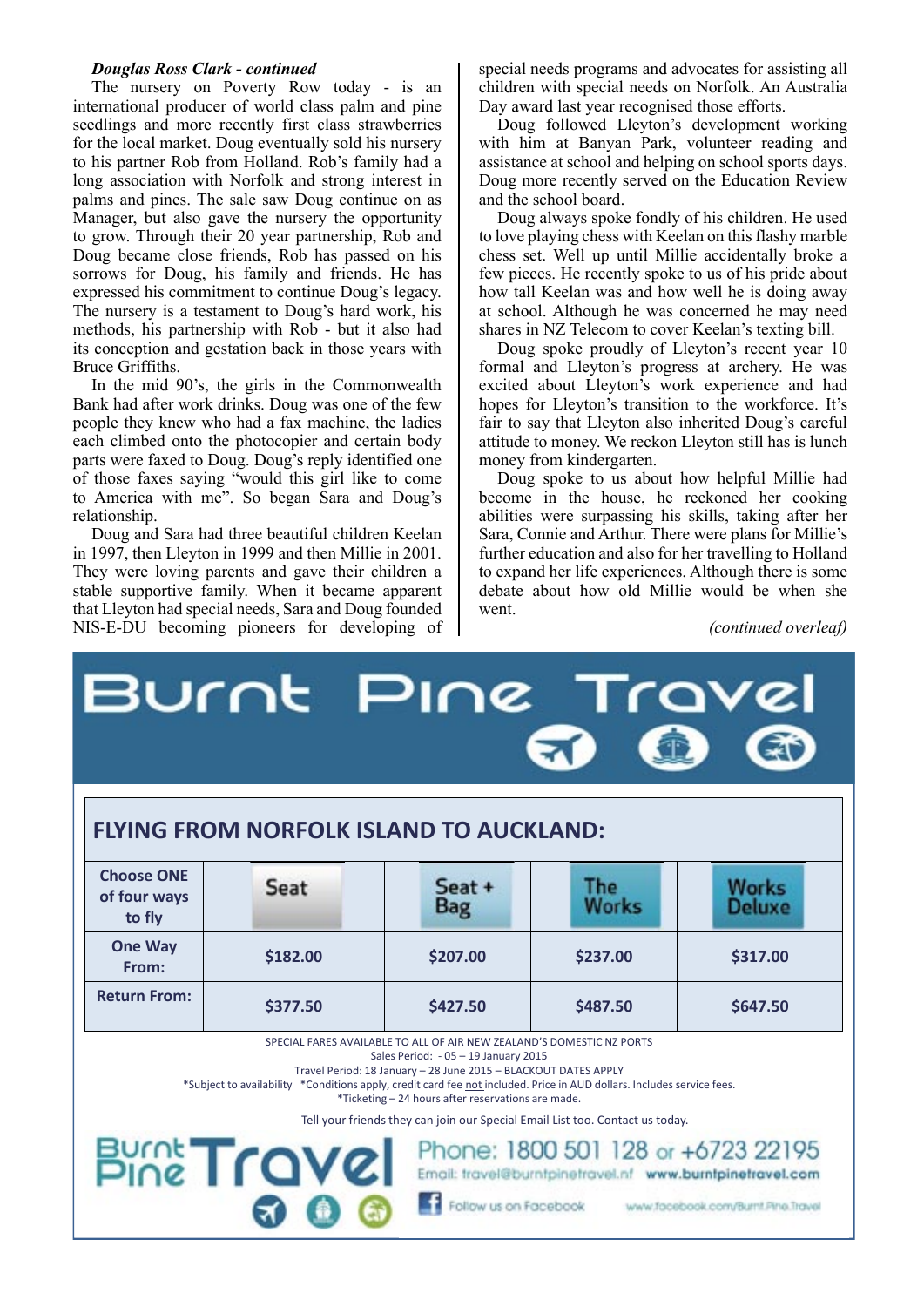### *Douglas Ross Clark - continued*

The nursery on Poverty Row today - is an international producer of world class palm and pine seedlings and more recently first class strawberries for the local market. Doug eventually sold his nursery to his partner Rob from Holland. Rob's family had a long association with Norfolk and strong interest in palms and pines. The sale saw Doug continue on as Manager, but also gave the nursery the opportunity to grow. Through their 20 year partnership, Rob and Doug became close friends, Rob has passed on his sorrows for Doug, his family and friends. He has expressed his commitment to continue Doug's legacy. The nursery is a testament to Doug's hard work, his methods, his partnership with Rob - but it also had its conception and gestation back in those years with Bruce Griffiths.

In the mid 90's, the girls in the Commonwealth Bank had after work drinks. Doug was one of the few people they knew who had a fax machine, the ladies each climbed onto the photocopier and certain body parts were faxed to Doug. Doug's reply identified one of those faxes saying "would this girl like to come to America with me". So began Sara and Doug's relationship.

Doug and Sara had three beautiful children Keelan in 1997, then Lleyton in 1999 and then Millie in 2001. They were loving parents and gave their children a stable supportive family. When it became apparent that Lleyton had special needs, Sara and Doug founded NIS-E-DU becoming pioneers for developing of special needs programs and advocates for assisting all children with special needs on Norfolk. An Australia Day award last year recognised those efforts.

Doug followed Lleyton's development working with him at Banyan Park, volunteer reading and assistance at school and helping on school sports days. Doug more recently served on the Education Review and the school board.

Doug always spoke fondly of his children. He used to love playing chess with Keelan on this flashy marble chess set. Well up until Millie accidentally broke a few pieces. He recently spoke to us of his pride about how tall Keelan was and how well he is doing away at school. Although he was concerned he may need shares in NZ Telecom to cover Keelan's texting bill.

Doug spoke proudly of Lleyton's recent year 10 formal and Lleyton's progress at archery. He was excited about Lleyton's work experience and had hopes for Lleyton's transition to the workforce. It's fair to say that Lleyton also inherited Doug's careful attitude to money. We reckon Lleyton still has is lunch money from kindergarten.

Doug spoke to us about how helpful Millie had become in the house, he reckoned her cooking abilities were surpassing his skills, taking after her Sara, Connie and Arthur. There were plans for Millie's further education and also for her travelling to Holland to expand her life experiences. Although there is some debate about how old Millie would be when she went.

*(continued overleaf)*

|                                                                                                                                                                                                                                                                                                                                                                                                                                                   | Burnt Pine Travel |                      |                     |                        |
|---------------------------------------------------------------------------------------------------------------------------------------------------------------------------------------------------------------------------------------------------------------------------------------------------------------------------------------------------------------------------------------------------------------------------------------------------|-------------------|----------------------|---------------------|------------------------|
| <b>FLYING FROM NORFOLK ISLAND TO AUCKLAND:</b>                                                                                                                                                                                                                                                                                                                                                                                                    |                   |                      |                     |                        |
| <b>Choose ONE</b><br>of four ways<br>to fly                                                                                                                                                                                                                                                                                                                                                                                                       | Seat              | Seat +<br><b>Bag</b> | <b>The</b><br>Works | Works<br><b>Deluxe</b> |
| <b>One Way</b><br>From:                                                                                                                                                                                                                                                                                                                                                                                                                           | \$182.00          | \$207.00             | \$237.00            | \$317.00               |
| <b>Return From:</b>                                                                                                                                                                                                                                                                                                                                                                                                                               | \$377.50          | \$427.50             | \$487.50            | \$647.50               |
| SPECIAL FARES AVAILABLE TO ALL OF AIR NEW ZEALAND'S DOMESTIC NZ PORTS<br>Sales Period: - 05 - 19 January 2015<br>Travel Period: 18 January - 28 June 2015 - BLACKOUT DATES APPLY<br>*Subject to availability *Conditions apply, credit card fee not included. Price in AUD dollars. Includes service fees.<br>*Ticketing - 24 hours after reservations are made.<br>Tell your friends they can join our Special Email List too. Contact us today. |                   |                      |                     |                        |
| Phone: 1800 501 128 or +6723 22195<br><b>Bunt Travel</b><br>Email: travel@burntpinetravel.nf www.burntpinetravel.com                                                                                                                                                                                                                                                                                                                              |                   |                      |                     |                        |
| Follow us on Facebook<br>www.facebook.com/Burnt.Pine.Travel                                                                                                                                                                                                                                                                                                                                                                                       |                   |                      |                     |                        |